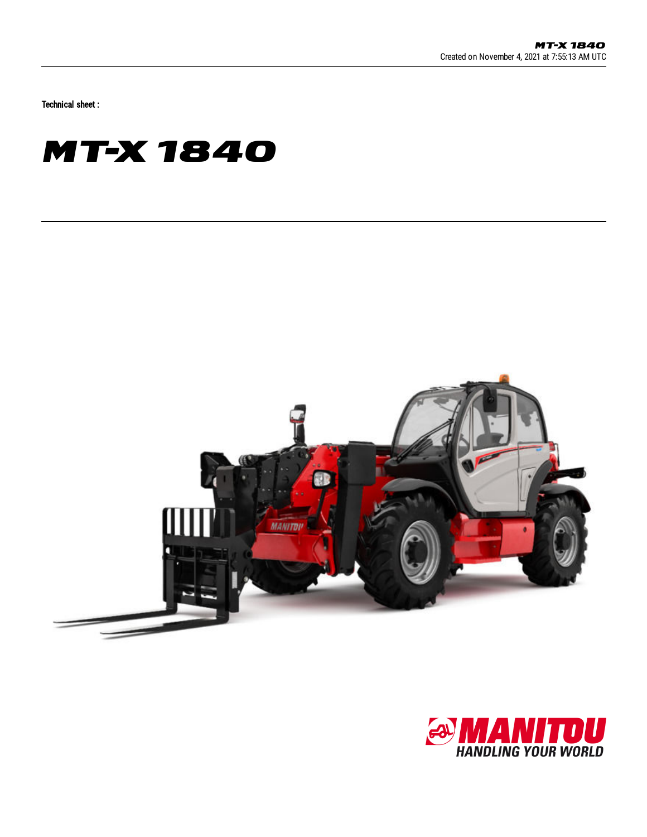Technical sheet :

## **MT-X 1840**



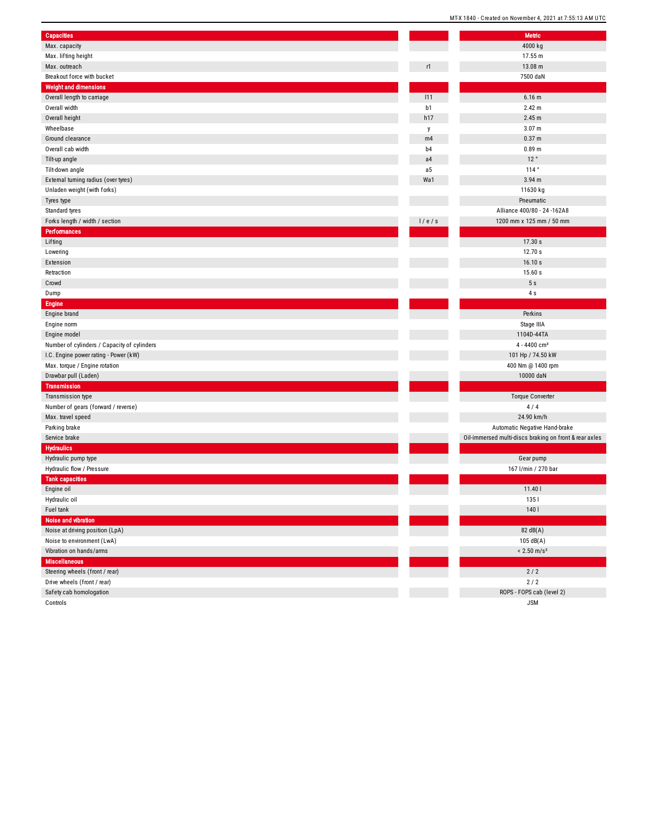|                                             |                | MI-X 1840 - Created on November 4, 2021 at 7:5 |
|---------------------------------------------|----------------|------------------------------------------------|
| <b>Capacities</b>                           |                | <b>Metric</b>                                  |
| Max. capacity                               |                | 4000 kg                                        |
| Max. lifting height                         |                | 17.55 m                                        |
| Max. outreach                               | r1             | 13.08 m                                        |
| Breakout force with bucket                  |                | 7500 daN                                       |
| <b>Weight and dimensions</b>                |                |                                                |
| Overall length to carriage                  | 111            | 6.16 m                                         |
| Overall width                               | b1             | 2.42 m                                         |
| Overall height                              | h17            | 2.45 m                                         |
| Wheelbase                                   |                | 3.07 <sub>m</sub>                              |
| Ground clearance                            | у<br>m4        | 0.37 m                                         |
| Overall cab width                           | b <sub>4</sub> | 0.89 m                                         |
|                                             | a <sub>4</sub> | 12°                                            |
| Tilt-up angle                               |                | 114°                                           |
| Tilt-down angle                             | a5             |                                                |
| External turning radius (over tyres)        | Wa1            | 3.94 m                                         |
| Unladen weight (with forks)                 |                | 11630 kg                                       |
| Tyres type                                  |                | Pneumatic                                      |
| Standard tyres                              |                | Alliance 400/80 - 24 -162A8                    |
| Forks length / width / section              | 1/e/s          | 1200 mm x 125 mm / 50 mm                       |
| <b>Performances</b>                         |                |                                                |
| Lifting                                     |                | 17.30 s                                        |
| Lowering                                    |                | 12.70 s                                        |
| Extension                                   |                | 16.10 s                                        |
| Retraction                                  |                | 15.60 s                                        |
| Crowd                                       |                | 5s                                             |
| Dump                                        |                | 4s                                             |
| <b>Engine</b>                               |                |                                                |
| Engine brand                                |                | Perkins                                        |
| Engine norm                                 |                | Stage IIIA                                     |
| Engine model                                |                | 1104D-44TA                                     |
| Number of cylinders / Capacity of cylinders |                | 4 - 4400 cm <sup>3</sup>                       |
| I.C. Engine power rating - Power (kW)       |                | 101 Hp / 74.50 kW                              |
| Max. torque / Engine rotation               |                | 400 Nm @ 1400 rpm                              |
| Drawbar pull (Laden)                        |                | 10000 daN                                      |
| <b>Transmission</b>                         |                |                                                |
| Transmission type                           |                | <b>Torque Converter</b>                        |
| Number of gears (forward / reverse)         |                | 4/4                                            |
| Max. travel speed                           |                | 24.90 km/h                                     |
| Parking brake                               |                | Automatic Negative Hand-brak                   |
| Service brake                               |                | Oil-immersed multi-discs braking on front      |
| <b>Hydraulics</b>                           |                |                                                |
| Hydraulic pump type                         |                | Gear pump                                      |
| Hydraulic flow / Pressure                   |                | 167 l/min / 270 bar                            |
| <b>Tank capacities</b>                      |                |                                                |
| Engine oil                                  |                | 11.401                                         |
| Hydraulic oil                               |                | 1351                                           |
| Fuel tank                                   |                | 140                                            |
| Noise and vibration                         |                |                                                |
| Noise at driving position (LpA)             |                | 82 dB(A)                                       |
| Noise to environment (LwA)                  |                | 105 dB(A)                                      |
| Vibration on hands/arms                     |                | $< 2.50$ m/s <sup>2</sup>                      |
| <b>Miscellaneous</b>                        |                |                                                |
| Steering wheels (front / rear)              |                | $2/2$                                          |
| Drive wheels (front / rear)                 |                | $2/2$                                          |
| Safety cab homologation                     |                | ROPS - FOPS cab (level 2)                      |
| Controls                                    |                | <b>JSM</b>                                     |

Perkins Stage IIIA 104D-44TA 4 - 4400 cm<sup>3</sup> 101 Hp / 74.50 kW 400 Nm @ 1400 rpm 10000 daN Torque Converter 4 / 4 2 4.9 0 k m / h matic Negative Hand-brake ulti-discs braking on front & rear axles Gear pump 167 I/min / 270 bar 1.4 0 l  $82 \text{ dB}(A)$  $105 dB(A)$  $< 2.50$  m/s<sup>2</sup>

J S M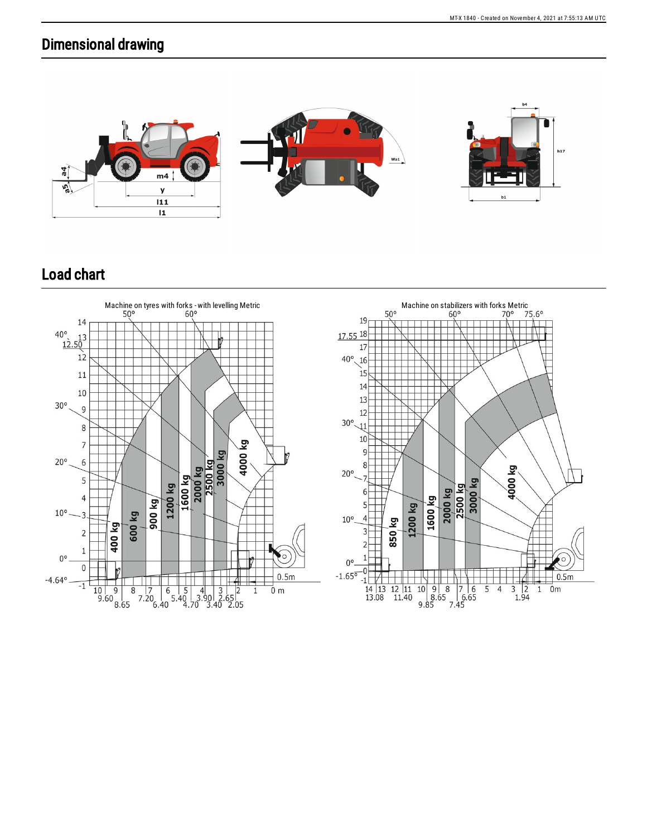## Dimensional drawing



## Load chart